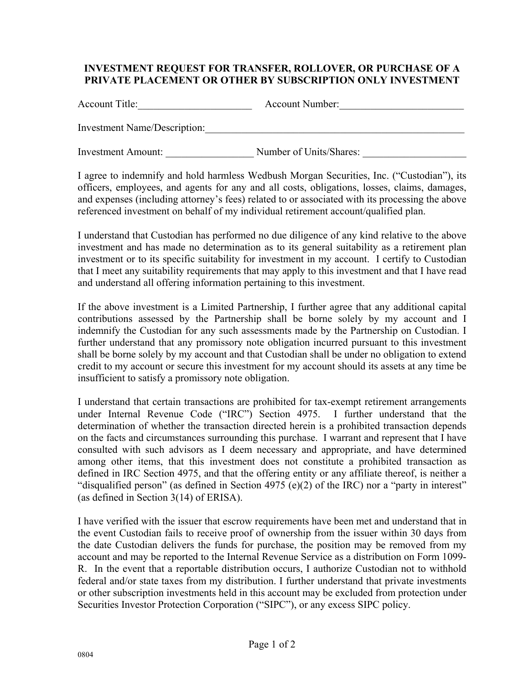## **INVESTMENT REQUEST FOR TRANSFER, ROLLOVER, OR PURCHASE OF A PRIVATE PLACEMENT OR OTHER BY SUBSCRIPTION ONLY INVESTMENT**

Account Title: Account Number:

Investment Name/Description:\_\_\_\_\_\_\_\_\_\_\_\_\_\_\_\_\_\_\_\_\_\_\_\_\_\_\_\_\_\_\_\_\_\_\_\_\_\_\_\_\_\_\_\_\_\_\_\_\_\_

Investment Amount: \_\_\_\_\_\_\_\_\_\_\_\_\_\_\_\_\_ Number of Units/Shares: \_\_\_\_\_\_\_\_\_\_\_\_\_\_\_\_\_\_\_\_

I agree to indemnify and hold harmless Wedbush Morgan Securities, Inc. ("Custodian"), its officers, employees, and agents for any and all costs, obligations, losses, claims, damages, and expenses (including attorney's fees) related to or associated with its processing the above referenced investment on behalf of my individual retirement account/qualified plan.

I understand that Custodian has performed no due diligence of any kind relative to the above investment and has made no determination as to its general suitability as a retirement plan investment or to its specific suitability for investment in my account. I certify to Custodian that I meet any suitability requirements that may apply to this investment and that I have read and understand all offering information pertaining to this investment.

If the above investment is a Limited Partnership, I further agree that any additional capital contributions assessed by the Partnership shall be borne solely by my account and I indemnify the Custodian for any such assessments made by the Partnership on Custodian. I further understand that any promissory note obligation incurred pursuant to this investment shall be borne solely by my account and that Custodian shall be under no obligation to extend credit to my account or secure this investment for my account should its assets at any time be insufficient to satisfy a promissory note obligation.

I understand that certain transactions are prohibited for tax-exempt retirement arrangements under Internal Revenue Code ("IRC") Section 4975. I further understand that the determination of whether the transaction directed herein is a prohibited transaction depends on the facts and circumstances surrounding this purchase. I warrant and represent that I have consulted with such advisors as I deem necessary and appropriate, and have determined among other items, that this investment does not constitute a prohibited transaction as defined in IRC Section 4975, and that the offering entity or any affiliate thereof, is neither a "disqualified person" (as defined in Section 4975 (e)(2) of the IRC) nor a "party in interest" (as defined in Section 3(14) of ERISA).

I have verified with the issuer that escrow requirements have been met and understand that in the event Custodian fails to receive proof of ownership from the issuer within 30 days from the date Custodian delivers the funds for purchase, the position may be removed from my account and may be reported to the Internal Revenue Service as a distribution on Form 1099- R. In the event that a reportable distribution occurs, I authorize Custodian not to withhold federal and/or state taxes from my distribution. I further understand that private investments or other subscription investments held in this account may be excluded from protection under Securities Investor Protection Corporation ("SIPC"), or any excess SIPC policy.